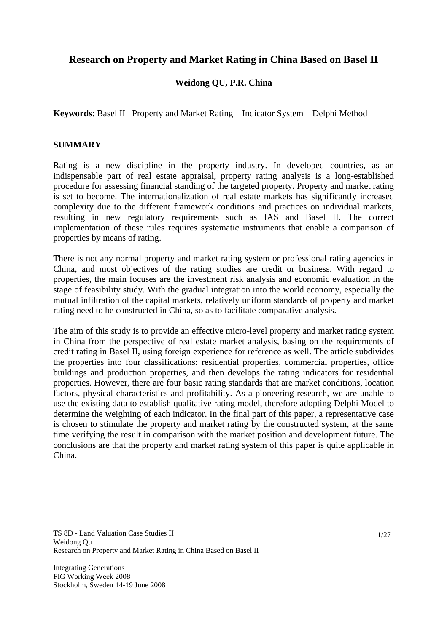# **Research on Property and Market Rating in China Based on Basel II**

# **Weidong QU, P.R. China**

**Keywords**: Basel II Property and Market Rating Indicator System Delphi Method

## **SUMMARY**

Rating is a new discipline in the property industry. In developed countries, as an indispensable part of real estate appraisal, property rating analysis is a long-established procedure for assessing financial standing of the targeted property. Property and market rating is set to become. The internationalization of real estate markets has significantly increased complexity due to the different framework conditions and practices on individual markets, resulting in new regulatory requirements such as IAS and Basel II. The correct implementation of these rules requires systematic instruments that enable a comparison of properties by means of rating.

There is not any normal property and market rating system or professional rating agencies in China, and most objectives of the rating studies are credit or business. With regard to properties, the main focuses are the investment risk analysis and economic evaluation in the stage of feasibility study. With the gradual integration into the world economy, especially the mutual infiltration of the capital markets, relatively uniform standards of property and market rating need to be constructed in China, so as to facilitate comparative analysis.

The aim of this study is to provide an effective micro-level property and market rating system in China from the perspective of real estate market analysis, basing on the requirements of credit rating in Basel II, using foreign experience for reference as well. The article subdivides the properties into four classifications: residential properties, commercial properties, office buildings and production properties, and then develops the rating indicators for residential properties. However, there are four basic rating standards that are market conditions, location factors, physical characteristics and profitability. As a pioneering research, we are unable to use the existing data to establish qualitative rating model, therefore adopting Delphi Model to determine the weighting of each indicator. In the final part of this paper, a representative case is chosen to stimulate the property and market rating by the constructed system, at the same time verifying the result in comparison with the market position and development future. The conclusions are that the property and market rating system of this paper is quite applicable in China.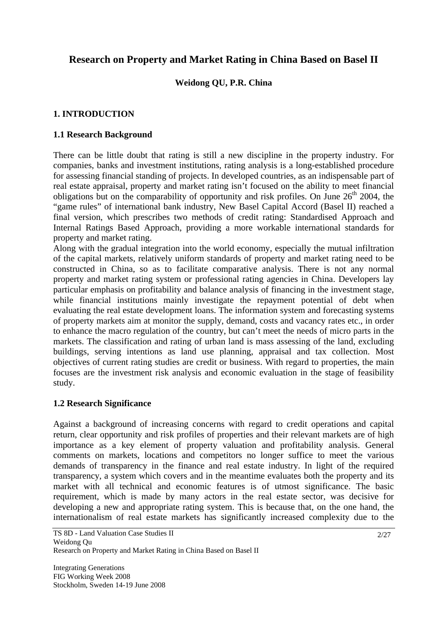# **Research on Property and Market Rating in China Based on Basel II**

# **Weidong QU, P.R. China**

# **1. INTRODUCTION**

# **1.1 Research Background**

There can be little doubt that rating is still a new discipline in the property industry. For companies, banks and investment institutions, rating analysis is a long-established procedure for assessing financial standing of projects. In developed countries, as an indispensable part of real estate appraisal, property and market rating isn't focused on the ability to meet financial obligations but on the comparability of opportunity and risk profiles. On June  $26<sup>th</sup>$  2004, the "game rules" of international bank industry, New Basel Capital Accord (Basel II) reached a final version, which prescribes two methods of credit rating: Standardised Approach and Internal Ratings Based Approach, providing a more workable international standards for property and market rating.

Along with the gradual integration into the world economy, especially the mutual infiltration of the capital markets, relatively uniform standards of property and market rating need to be constructed in China, so as to facilitate comparative analysis. There is not any normal property and market rating system or professional rating agencies in China. Developers lay particular emphasis on profitability and balance analysis of financing in the investment stage, while financial institutions mainly investigate the repayment potential of debt when evaluating the real estate development loans. The information system and forecasting systems of property markets aim at monitor the supply, demand, costs and vacancy rates etc., in order to enhance the macro regulation of the country, but can't meet the needs of micro parts in the markets. The classification and rating of urban land is mass assessing of the land, excluding buildings, serving intentions as land use planning, appraisal and tax collection. Most objectives of current rating studies are credit or business. With regard to properties, the main focuses are the investment risk analysis and economic evaluation in the stage of feasibility study.

#### **1.2 Research Significance**

Against a background of increasing concerns with regard to credit operations and capital return, clear opportunity and risk profiles of properties and their relevant markets are of high importance as a key element of property valuation and profitability analysis. General comments on markets, locations and competitors no longer suffice to meet the various demands of transparency in the finance and real estate industry. In light of the required transparency, a system which covers and in the meantime evaluates both the property and its market with all technical and economic features is of utmost significance. The basic requirement, which is made by many actors in the real estate sector, was decisive for developing a new and appropriate rating system. This is because that, on the one hand, the internationalism of real estate markets has significantly increased complexity due to the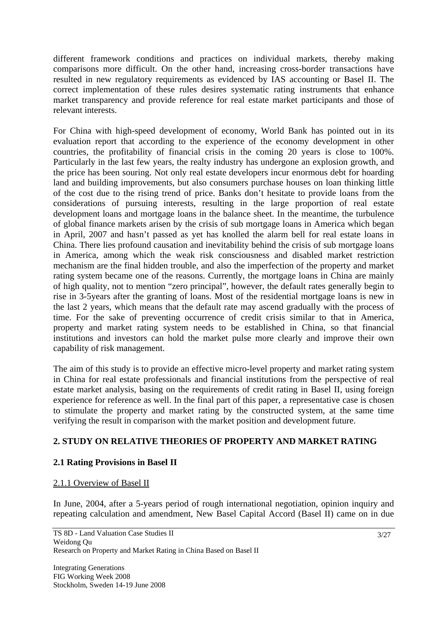different framework conditions and practices on individual markets, thereby making comparisons more difficult. On the other hand, increasing cross-border transactions have resulted in new regulatory requirements as evidenced by IAS accounting or Basel II. The correct implementation of these rules desires systematic rating instruments that enhance market transparency and provide reference for real estate market participants and those of relevant interests.

For China with high-speed development of economy, World Bank has pointed out in its evaluation report that according to the experience of the economy development in other countries, the profitability of financial crisis in the coming 20 years is close to 100%. Particularly in the last few years, the realty industry has undergone an explosion growth, and the price has been souring. Not only real estate developers incur enormous debt for hoarding land and building improvements, but also consumers purchase houses on loan thinking little of the cost due to the rising trend of price. Banks don't hesitate to provide loans from the considerations of pursuing interests, resulting in the large proportion of real estate development loans and mortgage loans in the balance sheet. In the meantime, the turbulence of global finance markets arisen by the crisis of sub mortgage loans in America which began in April, 2007 and hasn't passed as yet has knolled the alarm bell for real estate loans in China. There lies profound causation and inevitability behind the crisis of sub mortgage loans in America, among which the weak risk consciousness and disabled market restriction mechanism are the final hidden trouble, and also the imperfection of the property and market rating system became one of the reasons. Currently, the mortgage loans in China are mainly of high quality, not to mention "zero principal", however, the default rates generally begin to rise in 3-5years after the granting of loans. Most of the residential mortgage loans is new in the last 2 years, which means that the default rate may ascend gradually with the process of time. For the sake of preventing occurrence of credit crisis similar to that in America, property and market rating system needs to be established in China, so that financial institutions and investors can hold the market pulse more clearly and improve their own capability of risk management.

The aim of this study is to provide an effective micro-level property and market rating system in China for real estate professionals and financial institutions from the perspective of real estate market analysis, basing on the requirements of credit rating in Basel II, using foreign experience for reference as well. In the final part of this paper, a representative case is chosen to stimulate the property and market rating by the constructed system, at the same time verifying the result in comparison with the market position and development future.

# **2. STUDY ON RELATIVE THEORIES OF PROPERTY AND MARKET RATING**

# **2.1 Rating Provisions in Basel II**

# 2.1.1 Overview of Basel II

In June, 2004, after a 5-years period of rough international negotiation, opinion inquiry and repeating calculation and amendment, New Basel Capital Accord (Basel II) came on in due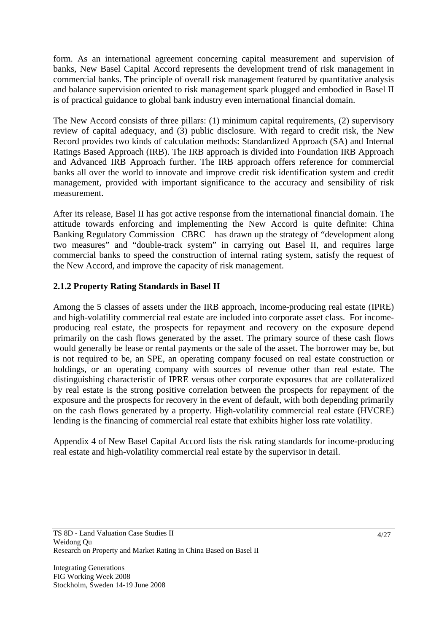form. As an international agreement concerning capital measurement and supervision of banks, New Basel Capital Accord represents the development trend of risk management in commercial banks. The principle of overall risk management featured by quantitative analysis and balance supervision oriented to risk management spark plugged and embodied in Basel II is of practical guidance to global bank industry even international financial domain.

The New Accord consists of three pillars: (1) minimum capital requirements, (2) supervisory review of capital adequacy, and (3) public disclosure. With regard to credit risk, the New Record provides two kinds of calculation methods: Standardized Approach (SA) and Internal Ratings Based Approach (IRB). The IRB approach is divided into Foundation IRB Approach and Advanced IRB Approach further. The IRB approach offers reference for commercial banks all over the world to innovate and improve credit risk identification system and credit management, provided with important significance to the accuracy and sensibility of risk measurement.

After its release, Basel II has got active response from the international financial domain. The attitude towards enforcing and implementing the New Accord is quite definite: China Banking Regulatory Commission CBRC has drawn up the strategy of "development along" two measures" and "double-track system" in carrying out Basel II, and requires large commercial banks to speed the construction of internal rating system, satisfy the request of the New Accord, and improve the capacity of risk management.

# **2.1.2 Property Rating Standards in Basel II**

Among the 5 classes of assets under the IRB approach, income-producing real estate (IPRE) and high-volatility commercial real estate are included into corporate asset class. For incomeproducing real estate, the prospects for repayment and recovery on the exposure depend primarily on the cash flows generated by the asset. The primary source of these cash flows would generally be lease or rental payments or the sale of the asset. The borrower may be, but is not required to be, an SPE, an operating company focused on real estate construction or holdings, or an operating company with sources of revenue other than real estate. The distinguishing characteristic of IPRE versus other corporate exposures that are collateralized by real estate is the strong positive correlation between the prospects for repayment of the exposure and the prospects for recovery in the event of default, with both depending primarily on the cash flows generated by a property. High-volatility commercial real estate (HVCRE) lending is the financing of commercial real estate that exhibits higher loss rate volatility.

Appendix 4 of New Basel Capital Accord lists the risk rating standards for income-producing real estate and high-volatility commercial real estate by the supervisor in detail.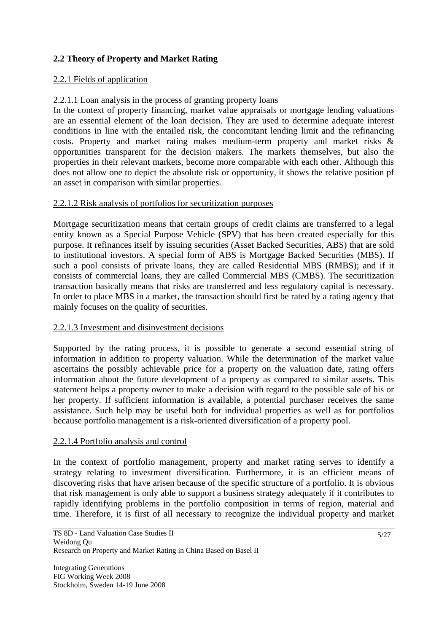# **2.2 Theory of Property and Market Rating**

# 2.2.1 Fields of application

# 2.2.1.1 Loan analysis in the process of granting property loans

In the context of property financing, market value appraisals or mortgage lending valuations are an essential element of the loan decision. They are used to determine adequate interest conditions in line with the entailed risk, the concomitant lending limit and the refinancing costs. Property and market rating makes medium-term property and market risks & opportunities transparent for the decision makers. The markets themselves, but also the properties in their relevant markets, become more comparable with each other. Although this does not allow one to depict the absolute risk or opportunity, it shows the relative position pf an asset in comparison with similar properties.

# 2.2.1.2 Risk analysis of portfolios for securitization purposes

Mortgage securitization means that certain groups of credit claims are transferred to a legal entity known as a Special Purpose Vehicle (SPV) that has been created especially for this purpose. It refinances itself by issuing securities (Asset Backed Securities, ABS) that are sold to institutional investors. A special form of ABS is Mortgage Backed Securities (MBS). If such a pool consists of private loans, they are called Residential MBS (RMBS); and if it consists of commercial loans, they are called Commercial MBS (CMBS). The securitization transaction basically means that risks are transferred and less regulatory capital is necessary. In order to place MBS in a market, the transaction should first be rated by a rating agency that mainly focuses on the quality of securities.

# 2.2.1.3 Investment and disinvestment decisions

Supported by the rating process, it is possible to generate a second essential string of information in addition to property valuation. While the determination of the market value ascertains the possibly achievable price for a property on the valuation date, rating offers information about the future development of a property as compared to similar assets. This statement helps a property owner to make a decision with regard to the possible sale of his or her property. If sufficient information is available, a potential purchaser receives the same assistance. Such help may be useful both for individual properties as well as for portfolios because portfolio management is a risk-oriented diversification of a property pool.

#### 2.2.1.4 Portfolio analysis and control

In the context of portfolio management, property and market rating serves to identify a strategy relating to investment diversification. Furthermore, it is an efficient means of discovering risks that have arisen because of the specific structure of a portfolio. It is obvious that risk management is only able to support a business strategy adequately if it contributes to rapidly identifying problems in the portfolio composition in terms of region, material and time. Therefore, it is first of all necessary to recognize the individual property and market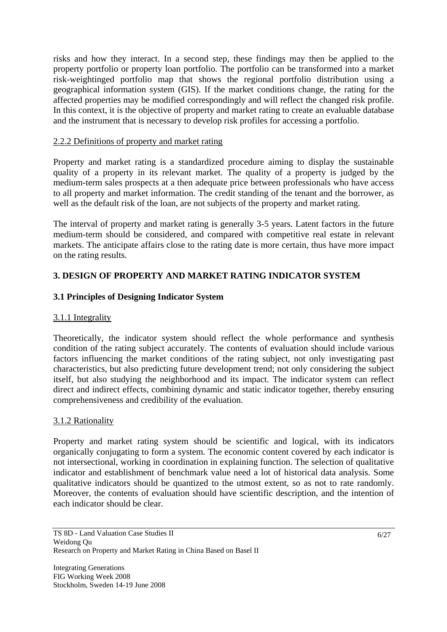risks and how they interact. In a second step, these findings may then be applied to the property portfolio or property loan portfolio. The portfolio can be transformed into a market risk-weightinged portfolio map that shows the regional portfolio distribution using a geographical information system (GIS). If the market conditions change, the rating for the affected properties may be modified correspondingly and will reflect the changed risk profile. In this context, it is the objective of property and market rating to create an evaluable database and the instrument that is necessary to develop risk profiles for accessing a portfolio.

# 2.2.2 Definitions of property and market rating

Property and market rating is a standardized procedure aiming to display the sustainable quality of a property in its relevant market. The quality of a property is judged by the medium-term sales prospects at a then adequate price between professionals who have access to all property and market information. The credit standing of the tenant and the borrower, as well as the default risk of the loan, are not subjects of the property and market rating.

The interval of property and market rating is generally 3-5 years. Latent factors in the future medium-term should be considered, and compared with competitive real estate in relevant markets. The anticipate affairs close to the rating date is more certain, thus have more impact on the rating results.

# **3. DESIGN OF PROPERTY AND MARKET RATING INDICATOR SYSTEM**

# **3.1 Principles of Designing Indicator System**

# 3.1.1 Integrality

Theoretically, the indicator system should reflect the whole performance and synthesis condition of the rating subject accurately. The contents of evaluation should include various factors influencing the market conditions of the rating subject, not only investigating past characteristics, but also predicting future development trend; not only considering the subject itself, but also studying the neighborhood and its impact. The indicator system can reflect direct and indirect effects, combining dynamic and static indicator together, thereby ensuring comprehensiveness and credibility of the evaluation.

# 3.1.2 Rationality

Property and market rating system should be scientific and logical, with its indicators organically conjugating to form a system. The economic content covered by each indicator is not intersectional, working in coordination in explaining function. The selection of qualitative indicator and establishment of benchmark value need a lot of historical data analysis. Some qualitative indicators should be quantized to the utmost extent, so as not to rate randomly. Moreover, the contents of evaluation should have scientific description, and the intention of each indicator should be clear.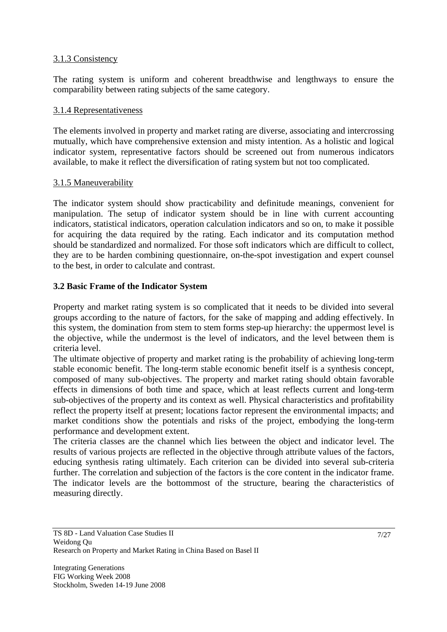# 3.1.3 Consistency

The rating system is uniform and coherent breadthwise and lengthways to ensure the comparability between rating subjects of the same category.

#### 3.1.4 Representativeness

The elements involved in property and market rating are diverse, associating and intercrossing mutually, which have comprehensive extension and misty intention. As a holistic and logical indicator system, representative factors should be screened out from numerous indicators available, to make it reflect the diversification of rating system but not too complicated.

## 3.1.5 Maneuverability

The indicator system should show practicability and definitude meanings, convenient for manipulation. The setup of indicator system should be in line with current accounting indicators, statistical indicators, operation calculation indicators and so on, to make it possible for acquiring the data required by the rating. Each indicator and its computation method should be standardized and normalized. For those soft indicators which are difficult to collect, they are to be harden combining questionnaire, on-the-spot investigation and expert counsel to the best, in order to calculate and contrast.

## **3.2 Basic Frame of the Indicator System**

Property and market rating system is so complicated that it needs to be divided into several groups according to the nature of factors, for the sake of mapping and adding effectively. In this system, the domination from stem to stem forms step-up hierarchy: the uppermost level is the objective, while the undermost is the level of indicators, and the level between them is criteria level.

The ultimate objective of property and market rating is the probability of achieving long-term stable economic benefit. The long-term stable economic benefit itself is a synthesis concept, composed of many sub-objectives. The property and market rating should obtain favorable effects in dimensions of both time and space, which at least reflects current and long-term sub-objectives of the property and its context as well. Physical characteristics and profitability reflect the property itself at present; locations factor represent the environmental impacts; and market conditions show the potentials and risks of the project, embodying the long-term performance and development extent.

The criteria classes are the channel which lies between the object and indicator level. The results of various projects are reflected in the objective through attribute values of the factors, educing synthesis rating ultimately. Each criterion can be divided into several sub-criteria further. The correlation and subjection of the factors is the core content in the indicator frame. The indicator levels are the bottommost of the structure, bearing the characteristics of measuring directly.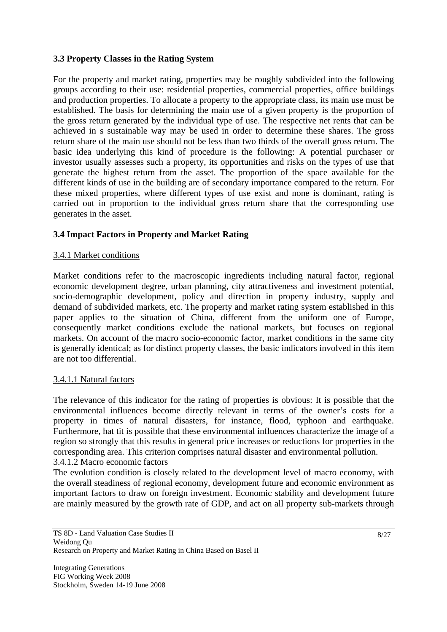# **3.3 Property Classes in the Rating System**

For the property and market rating, properties may be roughly subdivided into the following groups according to their use: residential properties, commercial properties, office buildings and production properties. To allocate a property to the appropriate class, its main use must be established. The basis for determining the main use of a given property is the proportion of the gross return generated by the individual type of use. The respective net rents that can be achieved in s sustainable way may be used in order to determine these shares. The gross return share of the main use should not be less than two thirds of the overall gross return. The basic idea underlying this kind of procedure is the following: A potential purchaser or investor usually assesses such a property, its opportunities and risks on the types of use that generate the highest return from the asset. The proportion of the space available for the different kinds of use in the building are of secondary importance compared to the return. For these mixed properties, where different types of use exist and none is dominant, rating is carried out in proportion to the individual gross return share that the corresponding use generates in the asset.

# **3.4 Impact Factors in Property and Market Rating**

# 3.4.1 Market conditions

Market conditions refer to the macroscopic ingredients including natural factor, regional economic development degree, urban planning, city attractiveness and investment potential, socio-demographic development, policy and direction in property industry, supply and demand of subdivided markets, etc. The property and market rating system established in this paper applies to the situation of China, different from the uniform one of Europe, consequently market conditions exclude the national markets, but focuses on regional markets. On account of the macro socio-economic factor, market conditions in the same city is generally identical; as for distinct property classes, the basic indicators involved in this item are not too differential.

#### 3.4.1.1 Natural factors

The relevance of this indicator for the rating of properties is obvious: It is possible that the environmental influences become directly relevant in terms of the owner's costs for a property in times of natural disasters, for instance, flood, typhoon and earthquake. Furthermore, hat tit is possible that these environmental influences characterize the image of a region so strongly that this results in general price increases or reductions for properties in the corresponding area. This criterion comprises natural disaster and environmental pollution. 3.4.1.2 Macro economic factors

The evolution condition is closely related to the development level of macro economy, with the overall steadiness of regional economy, development future and economic environment as important factors to draw on foreign investment. Economic stability and development future are mainly measured by the growth rate of GDP, and act on all property sub-markets through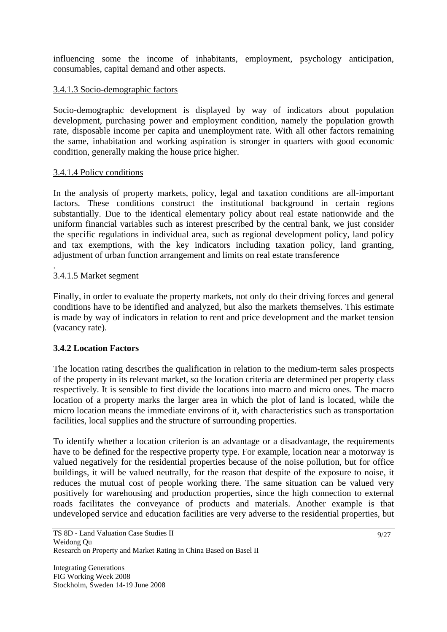influencing some the income of inhabitants, employment, psychology anticipation, consumables, capital demand and other aspects.

# 3.4.1.3 Socio-demographic factors

Socio-demographic development is displayed by way of indicators about population development, purchasing power and employment condition, namely the population growth rate, disposable income per capita and unemployment rate. With all other factors remaining the same, inhabitation and working aspiration is stronger in quarters with good economic condition, generally making the house price higher.

# 3.4.1.4 Policy conditions

In the analysis of property markets, policy, legal and taxation conditions are all-important factors. These conditions construct the institutional background in certain regions substantially. Due to the identical elementary policy about real estate nationwide and the uniform financial variables such as interest prescribed by the central bank, we just consider the specific regulations in individual area, such as regional development policy, land policy and tax exemptions, with the key indicators including taxation policy, land granting, adjustment of urban function arrangement and limits on real estate transference

#### . 3.4.1.5 Market segment

Finally, in order to evaluate the property markets, not only do their driving forces and general conditions have to be identified and analyzed, but also the markets themselves. This estimate is made by way of indicators in relation to rent and price development and the market tension (vacancy rate).

# **3.4.2 Location Factors**

The location rating describes the qualification in relation to the medium-term sales prospects of the property in its relevant market, so the location criteria are determined per property class respectively. It is sensible to first divide the locations into macro and micro ones. The macro location of a property marks the larger area in which the plot of land is located, while the micro location means the immediate environs of it, with characteristics such as transportation facilities, local supplies and the structure of surrounding properties.

To identify whether a location criterion is an advantage or a disadvantage, the requirements have to be defined for the respective property type. For example, location near a motorway is valued negatively for the residential properties because of the noise pollution, but for office buildings, it will be valued neutrally, for the reason that despite of the exposure to noise, it reduces the mutual cost of people working there. The same situation can be valued very positively for warehousing and production properties, since the high connection to external roads facilitates the conveyance of products and materials. Another example is that undeveloped service and education facilities are very adverse to the residential properties, but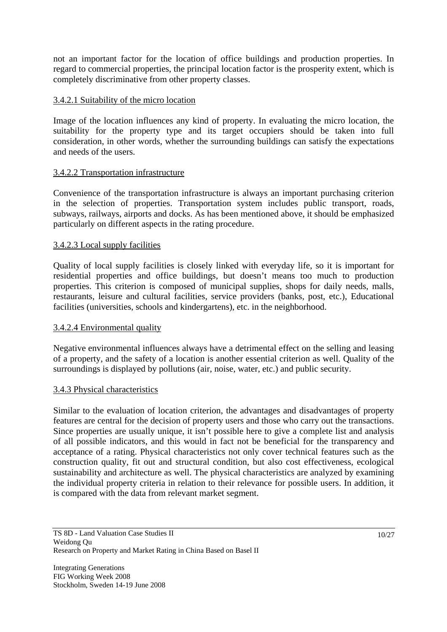not an important factor for the location of office buildings and production properties. In regard to commercial properties, the principal location factor is the prosperity extent, which is completely discriminative from other property classes.

## 3.4.2.1 Suitability of the micro location

Image of the location influences any kind of property. In evaluating the micro location, the suitability for the property type and its target occupiers should be taken into full consideration, in other words, whether the surrounding buildings can satisfy the expectations and needs of the users.

## 3.4.2.2 Transportation infrastructure

Convenience of the transportation infrastructure is always an important purchasing criterion in the selection of properties. Transportation system includes public transport, roads, subways, railways, airports and docks. As has been mentioned above, it should be emphasized particularly on different aspects in the rating procedure.

## 3.4.2.3 Local supply facilities

Quality of local supply facilities is closely linked with everyday life, so it is important for residential properties and office buildings, but doesn't means too much to production properties. This criterion is composed of municipal supplies, shops for daily needs, malls, restaurants, leisure and cultural facilities, service providers (banks, post, etc.), Educational facilities (universities, schools and kindergartens), etc. in the neighborhood.

# 3.4.2.4 Environmental quality

Negative environmental influences always have a detrimental effect on the selling and leasing of a property, and the safety of a location is another essential criterion as well. Quality of the surroundings is displayed by pollutions (air, noise, water, etc.) and public security.

#### 3.4.3 Physical characteristics

Similar to the evaluation of location criterion, the advantages and disadvantages of property features are central for the decision of property users and those who carry out the transactions. Since properties are usually unique, it isn't possible here to give a complete list and analysis of all possible indicators, and this would in fact not be beneficial for the transparency and acceptance of a rating. Physical characteristics not only cover technical features such as the construction quality, fit out and structural condition, but also cost effectiveness, ecological sustainability and architecture as well. The physical characteristics are analyzed by examining the individual property criteria in relation to their relevance for possible users. In addition, it is compared with the data from relevant market segment.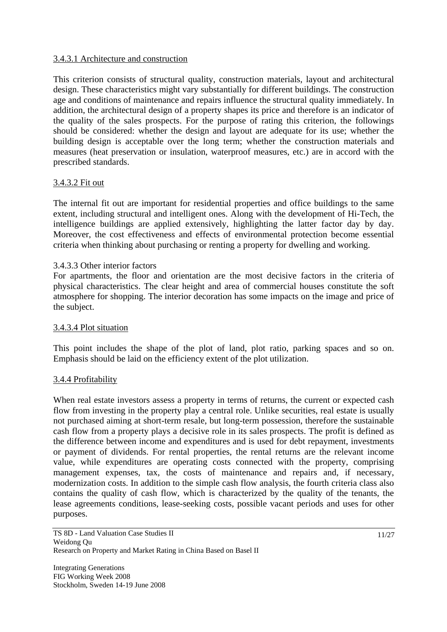# 3.4.3.1 Architecture and construction

This criterion consists of structural quality, construction materials, layout and architectural design. These characteristics might vary substantially for different buildings. The construction age and conditions of maintenance and repairs influence the structural quality immediately. In addition, the architectural design of a property shapes its price and therefore is an indicator of the quality of the sales prospects. For the purpose of rating this criterion, the followings should be considered: whether the design and layout are adequate for its use; whether the building design is acceptable over the long term; whether the construction materials and measures (heat preservation or insulation, waterproof measures, etc.) are in accord with the prescribed standards.

## 3.4.3.2 Fit out

The internal fit out are important for residential properties and office buildings to the same extent, including structural and intelligent ones. Along with the development of Hi-Tech, the intelligence buildings are applied extensively, highlighting the latter factor day by day. Moreover, the cost effectiveness and effects of environmental protection become essential criteria when thinking about purchasing or renting a property for dwelling and working.

#### 3.4.3.3 Other interior factors

For apartments, the floor and orientation are the most decisive factors in the criteria of physical characteristics. The clear height and area of commercial houses constitute the soft atmosphere for shopping. The interior decoration has some impacts on the image and price of the subject.

## 3.4.3.4 Plot situation

This point includes the shape of the plot of land, plot ratio, parking spaces and so on. Emphasis should be laid on the efficiency extent of the plot utilization.

#### 3.4.4 Profitability

When real estate investors assess a property in terms of returns, the current or expected cash flow from investing in the property play a central role. Unlike securities, real estate is usually not purchased aiming at short-term resale, but long-term possession, therefore the sustainable cash flow from a property plays a decisive role in its sales prospects. The profit is defined as the difference between income and expenditures and is used for debt repayment, investments or payment of dividends. For rental properties, the rental returns are the relevant income value, while expenditures are operating costs connected with the property, comprising management expenses, tax, the costs of maintenance and repairs and, if necessary, modernization costs. In addition to the simple cash flow analysis, the fourth criteria class also contains the quality of cash flow, which is characterized by the quality of the tenants, the lease agreements conditions, lease-seeking costs, possible vacant periods and uses for other purposes.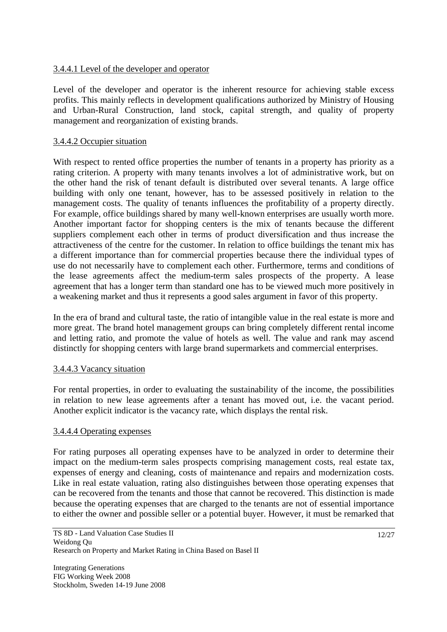# 3.4.4.1 Level of the developer and operator

Level of the developer and operator is the inherent resource for achieving stable excess profits. This mainly reflects in development qualifications authorized by Ministry of Housing and Urban-Rural Construction, land stock, capital strength, and quality of property management and reorganization of existing brands.

# 3.4.4.2 Occupier situation

With respect to rented office properties the number of tenants in a property has priority as a rating criterion. A property with many tenants involves a lot of administrative work, but on the other hand the risk of tenant default is distributed over several tenants. A large office building with only one tenant, however, has to be assessed positively in relation to the management costs. The quality of tenants influences the profitability of a property directly. For example, office buildings shared by many well-known enterprises are usually worth more. Another important factor for shopping centers is the mix of tenants because the different suppliers complement each other in terms of product diversification and thus increase the attractiveness of the centre for the customer. In relation to office buildings the tenant mix has a different importance than for commercial properties because there the individual types of use do not necessarily have to complement each other. Furthermore, terms and conditions of the lease agreements affect the medium-term sales prospects of the property. A lease agreement that has a longer term than standard one has to be viewed much more positively in a weakening market and thus it represents a good sales argument in favor of this property.

In the era of brand and cultural taste, the ratio of intangible value in the real estate is more and more great. The brand hotel management groups can bring completely different rental income and letting ratio, and promote the value of hotels as well. The value and rank may ascend distinctly for shopping centers with large brand supermarkets and commercial enterprises.

# 3.4.4.3 Vacancy situation

For rental properties, in order to evaluating the sustainability of the income, the possibilities in relation to new lease agreements after a tenant has moved out, i.e. the vacant period. Another explicit indicator is the vacancy rate, which displays the rental risk.

# 3.4.4.4 Operating expenses

For rating purposes all operating expenses have to be analyzed in order to determine their impact on the medium-term sales prospects comprising management costs, real estate tax, expenses of energy and cleaning, costs of maintenance and repairs and modernization costs. Like in real estate valuation, rating also distinguishes between those operating expenses that can be recovered from the tenants and those that cannot be recovered. This distinction is made because the operating expenses that are charged to the tenants are not of essential importance to either the owner and possible seller or a potential buyer. However, it must be remarked that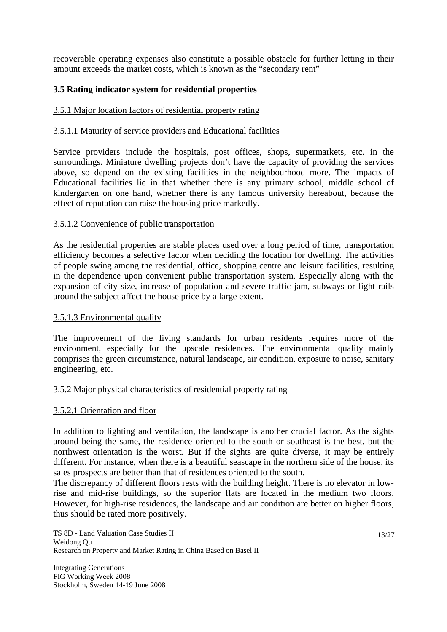recoverable operating expenses also constitute a possible obstacle for further letting in their amount exceeds the market costs, which is known as the "secondary rent"

# **3.5 Rating indicator system for residential properties**

# 3.5.1 Major location factors of residential property rating

# 3.5.1.1 Maturity of service providers and Educational facilities

Service providers include the hospitals, post offices, shops, supermarkets, etc. in the surroundings. Miniature dwelling projects don't have the capacity of providing the services above, so depend on the existing facilities in the neighbourhood more. The impacts of Educational facilities lie in that whether there is any primary school, middle school of kindergarten on one hand, whether there is any famous university hereabout, because the effect of reputation can raise the housing price markedly.

## 3.5.1.2 Convenience of public transportation

As the residential properties are stable places used over a long period of time, transportation efficiency becomes a selective factor when deciding the location for dwelling. The activities of people swing among the residential, office, shopping centre and leisure facilities, resulting in the dependence upon convenient public transportation system. Especially along with the expansion of city size, increase of population and severe traffic jam, subways or light rails around the subject affect the house price by a large extent.

#### 3.5.1.3 Environmental quality

The improvement of the living standards for urban residents requires more of the environment, especially for the upscale residences. The environmental quality mainly comprises the green circumstance, natural landscape, air condition, exposure to noise, sanitary engineering, etc.

# 3.5.2 Major physical characteristics of residential property rating

# 3.5.2.1 Orientation and floor

In addition to lighting and ventilation, the landscape is another crucial factor. As the sights around being the same, the residence oriented to the south or southeast is the best, but the northwest orientation is the worst. But if the sights are quite diverse, it may be entirely different. For instance, when there is a beautiful seascape in the northern side of the house, its sales prospects are better than that of residences oriented to the south.

The discrepancy of different floors rests with the building height. There is no elevator in lowrise and mid-rise buildings, so the superior flats are located in the medium two floors. However, for high-rise residences, the landscape and air condition are better on higher floors, thus should be rated more positively.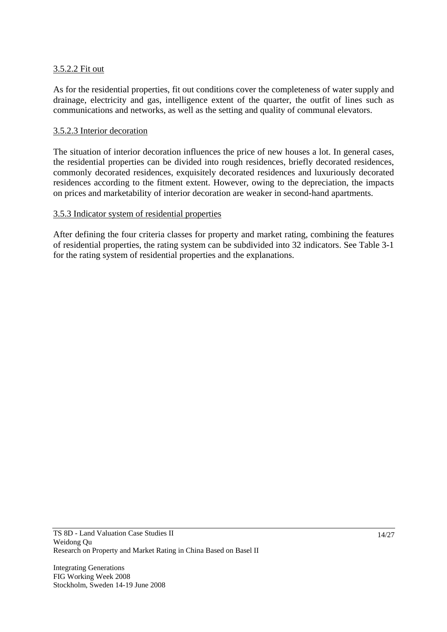## 3.5.2.2 Fit out

As for the residential properties, fit out conditions cover the completeness of water supply and drainage, electricity and gas, intelligence extent of the quarter, the outfit of lines such as communications and networks, as well as the setting and quality of communal elevators.

## 3.5.2.3 Interior decoration

The situation of interior decoration influences the price of new houses a lot. In general cases, the residential properties can be divided into rough residences, briefly decorated residences, commonly decorated residences, exquisitely decorated residences and luxuriously decorated residences according to the fitment extent. However, owing to the depreciation, the impacts on prices and marketability of interior decoration are weaker in second-hand apartments.

## 3.5.3 Indicator system of residential properties

After defining the four criteria classes for property and market rating, combining the features of residential properties, the rating system can be subdivided into 32 indicators. See Table 3-1 for the rating system of residential properties and the explanations.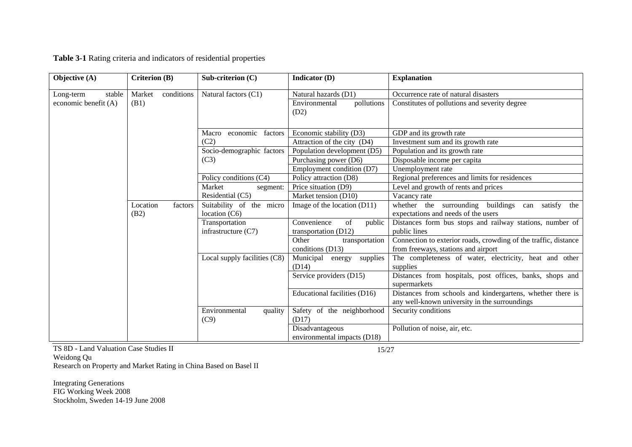| Objective (A)        | Criterion (B)    |            | Sub-criterion $(C)$                         | Indicator (D)                                       | <b>Explanation</b>                                                                                          |
|----------------------|------------------|------------|---------------------------------------------|-----------------------------------------------------|-------------------------------------------------------------------------------------------------------------|
| stable<br>Long-term  | Market           | conditions | Natural factors (C1)                        | Natural hazards (D1)                                | Occurrence rate of natural disasters                                                                        |
| economic benefit (A) | (B1)             |            |                                             | Environmental<br>pollutions<br>(D2)                 | Constitutes of pollutions and severity degree                                                               |
|                      |                  |            | economic factors<br>Macro                   | Economic stability (D3)                             | GDP and its growth rate                                                                                     |
|                      |                  |            | (C2)                                        | Attraction of the city (D4)                         | Investment sum and its growth rate                                                                          |
|                      |                  |            | Socio-demographic factors<br>(C3)           | Population development (D5)                         | Population and its growth rate                                                                              |
|                      |                  |            |                                             | Purchasing power (D6)                               | Disposable income per capita                                                                                |
|                      |                  |            |                                             | Employment condition (D7)                           | Unemployment rate                                                                                           |
|                      |                  |            | Policy conditions (C4)                      | Policy attraction (D8)                              | Regional preferences and limits for residences                                                              |
|                      |                  |            | Market<br>segment:                          | Price situation (D9)                                | Level and growth of rents and prices                                                                        |
|                      |                  |            | Residential (C5)                            | Market tension (D10)                                | Vacancy rate                                                                                                |
|                      | Location<br>(B2) | factors    | Suitability of the micro<br>location $(C6)$ | Image of the location $(D11)$                       | whether the surrounding buildings<br>satisfy<br>the<br>can<br>expectations and needs of the users           |
|                      |                  |            | Transportation<br>infrastructure $(C7)$     | Convenience<br>of<br>public<br>transportation (D12) | Distances form bus stops and railway stations, number of<br>public lines                                    |
|                      |                  |            |                                             | Other<br>transportation<br>conditions (D13)         | Connection to exterior roads, crowding of the traffic, distance<br>from freeways, stations and airport      |
|                      |                  |            | Local supply facilities (C8)                | Municipal<br>energy<br>supplies<br>(D14)            | The completeness of water, electricity, heat and other<br>supplies                                          |
|                      |                  |            |                                             | Service providers (D15)                             | Distances from hospitals, post offices, banks, shops and<br>supermarkets                                    |
|                      |                  |            |                                             | Educational facilities (D16)                        | Distances from schools and kindergartens, whether there is<br>any well-known university in the surroundings |
|                      |                  |            | Environmental<br>quality<br>(C9)            | Safety of the neighborhood<br>(D17)                 | Security conditions                                                                                         |
|                      |                  |            |                                             | Disadvantageous<br>environmental impacts (D18)      | Pollution of noise, air, etc.                                                                               |

**Table 3-1** Rating criteria and indicators of residential properties

TS 8D - Land Valuation Case Studies II Weidong Qu Research on Property and Market Rating in China Based on Basel II

15/27

Integrating Generations FIG Working Week 2008 Stockholm, Sweden 14-19 June 2008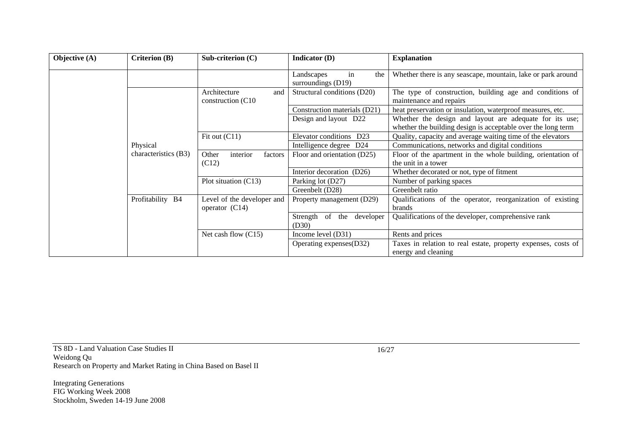| Objective (A) | Criterion (B)        | Sub-criterion $(C)$                            | Indicator (D)                                 | <b>Explanation</b>                                                                                                      |  |
|---------------|----------------------|------------------------------------------------|-----------------------------------------------|-------------------------------------------------------------------------------------------------------------------------|--|
|               |                      |                                                | Landscapes<br>the<br>in<br>surroundings (D19) | Whether there is any seascape, mountain, lake or park around                                                            |  |
|               |                      | Architecture<br>and<br>construction (C10)      | Structural conditions (D20)                   | The type of construction, building age and conditions of<br>maintenance and repairs                                     |  |
|               |                      |                                                | Construction materials (D21)                  | heat preservation or insulation, waterproof measures, etc.                                                              |  |
|               |                      |                                                | Design and layout D22                         | Whether the design and layout are adequate for its use;<br>whether the building design is acceptable over the long term |  |
|               | Physical             | Fit out (C11)                                  | Elevator conditions<br>D <sub>23</sub>        | Quality, capacity and average waiting time of the elevators                                                             |  |
|               |                      |                                                | Intelligence degree D24                       | Communications, networks and digital conditions                                                                         |  |
|               | characteristics (B3) | Other<br>interior<br>factors                   | Floor and orientation (D25)                   | Floor of the apartment in the whole building, orientation of                                                            |  |
|               |                      | (C12)                                          |                                               | the unit in a tower                                                                                                     |  |
|               |                      |                                                | Interior decoration (D26)                     | Whether decorated or not, type of fitment                                                                               |  |
|               |                      | Plot situation (C13)                           | Parking lot (D27)                             | Number of parking spaces                                                                                                |  |
|               |                      |                                                | Greenbelt (D28)                               | Greenbelt ratio                                                                                                         |  |
|               | Profitability B4     | Level of the developer and<br>operator $(C14)$ | Property management (D29)                     | Qualifications of the operator, reorganization of existing<br>brands                                                    |  |
|               |                      |                                                | Strength<br>of<br>the<br>developer<br>(D30)   | Qualifications of the developer, comprehensive rank                                                                     |  |
|               |                      | Net cash flow $(C15)$                          | Income level (D31)                            | Rents and prices                                                                                                        |  |
|               |                      |                                                | Operating expenses(D32)                       | Taxes in relation to real estate, property expenses, costs of<br>energy and cleaning                                    |  |

TS 8D - Land Valuation Case Studies II Weidong Qu Research on Property and Market Rating in China Based on Basel II

Integrating Generations FIG Working Week 2008 Stockholm, Sweden 14-19 June 2008 16/27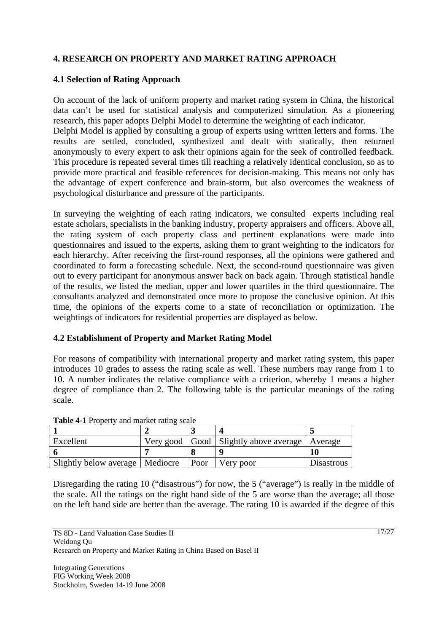# **4. RESEARCH ON PROPERTY AND MARKET RATING APPROACH**

# **4.1 Selection of Rating Approach**

On account of the lack of uniform property and market rating system in China, the historical data can't be used for statistical analysis and computerized simulation. As a pioneering research, this paper adopts Delphi Model to determine the weighting of each indicator. Delphi Model is applied by consulting a group of experts using written letters and forms. The results are settled, concluded, synthesized and dealt with statically, then returned anonymously to every expert to ask their opinions again for the seek of controlled feedback. This procedure is repeated several times till reaching a relatively identical conclusion, so as to provide more practical and feasible references for decision-making. This means not only has the advantage of expert conference and brain-storm, but also overcomes the weakness of psychological disturbance and pressure of the participants.

In surveying the weighting of each rating indicators, we consulted experts including real estate scholars, specialists in the banking industry, property appraisers and officers. Above all, the rating system of each property class and pertinent explanations were made into questionnaires and issued to the experts, asking them to grant weighting to the indicators for each hierarchy. After receiving the first-round responses, all the opinions were gathered and coordinated to form a forecasting schedule. Next, the second-round questionnaire was given out to every participant for anonymous answer back on back again. Through statistical handle of the results, we listed the median, upper and lower quartiles in the third questionnaire. The consultants analyzed and demonstrated once more to propose the conclusive opinion. At this time, the opinions of the experts come to a state of reconciliation or optimization. The weightings of indicators for residential properties are displayed as below.

#### **4.2 Establishment of Property and Market Rating Model**

For reasons of compatibility with international property and market rating system, this paper introduces 10 grades to assess the rating scale as well. These numbers may range from 1 to 10. A number indicates the relative compliance with a criterion, whereby 1 means a higher degree of compliance than 2. The following table is the particular meanings of the rating scale.

| Excellent                         |  |        | Very good   Good   Slightly above average   Average |                   |  |  |  |  |  |
|-----------------------------------|--|--------|-----------------------------------------------------|-------------------|--|--|--|--|--|
|                                   |  |        |                                                     |                   |  |  |  |  |  |
| Slightly below average   Mediocre |  | l Poor | Very poor                                           | <b>Disastrous</b> |  |  |  |  |  |

Disregarding the rating 10 ("disastrous") for now, the 5 ("average") is really in the middle of the scale. All the ratings on the right hand side of the 5 are worse than the average; all those on the left hand side are better than the average. The rating 10 is awarded if the degree of this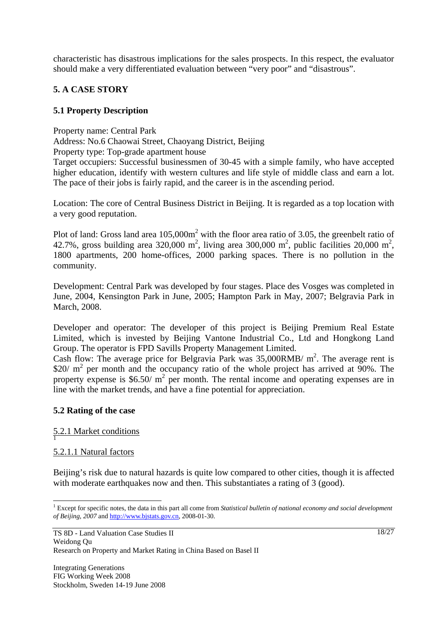characteristic has disastrous implications for the sales prospects. In this respect, the evaluator should make a very differentiated evaluation between "very poor" and "disastrous".

# **5. A CASE STORY**

# **5.1 Property Description**

Property name: Central Park

Address: No.6 Chaowai Street, Chaoyang District, Beijing

Property type: Top-grade apartment house

Target occupiers: Successful businessmen of 30-45 with a simple family, who have accepted higher education, identify with western cultures and life style of middle class and earn a lot. The pace of their jobs is fairly rapid, and the career is in the ascending period.

Location: The core of Central Business District in Beijing. It is regarded as a top location with a very good reputation.

Plot of land: Gross land area  $105,000m^2$  with the floor area ratio of 3.05, the greenbelt ratio of 42.7%, gross building area 320,000 m<sup>2</sup>, living area 300,000 m<sup>2</sup>, public facilities 20,000 m<sup>2</sup>, 1800 apartments, 200 home-offices, 2000 parking spaces. There is no pollution in the community.

Development: Central Park was developed by four stages. Place des Vosges was completed in June, 2004, Kensington Park in June, 2005; Hampton Park in May, 2007; Belgravia Park in March, 2008.

Developer and operator: The developer of this project is Beijing Premium Real Estate Limited, which is invested by Beijing Vantone Industrial Co., Ltd and Hongkong Land Group. The operator is FPD Savills Property Management Limited.

Cash flow: The average price for Belgravia Park was  $35,000$ RMB/ m<sup>2</sup>. The average rent is \$20/  $m^2$  per month and the occupancy ratio of the whole project has arrived at 90%. The property expense is  $$6.50/$  m<sup>2</sup> per month. The rental income and operating expenses are in line with the market trends, and have a fine potential for appreciation.

# **5.2 Rating of the case**

# 5.2.1 Market conditions 1

# 5.2.1.1 Natural factors

 $\overline{a}$ 

Beijing's risk due to natural hazards is quite low compared to other cities, though it is affected with moderate earthquakes now and then. This substantiates a rating of 3 (good).

<sup>&</sup>lt;sup>1</sup> Except for specific notes, the data in this part all come from *Statistical bulletin of national economy and social development of Beijing, 2007* and http://www.bjstats.gov.cn, 2008-01-30.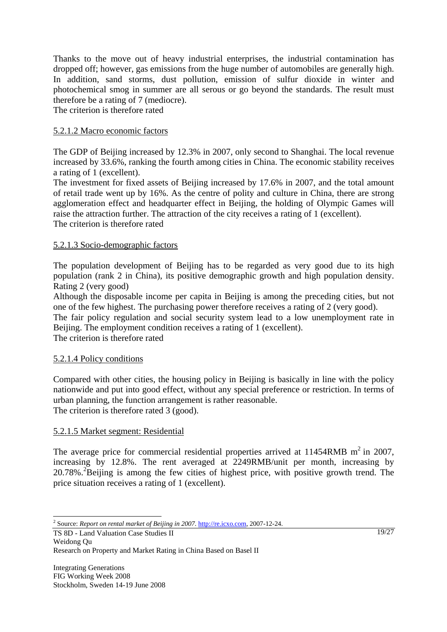Thanks to the move out of heavy industrial enterprises, the industrial contamination has dropped off; however, gas emissions from the huge number of automobiles are generally high. In addition, sand storms, dust pollution, emission of sulfur dioxide in winter and photochemical smog in summer are all serous or go beyond the standards. The result must therefore be a rating of 7 (mediocre).

The criterion is therefore rated

# 5.2.1.2 Macro economic factors

The GDP of Beijing increased by 12.3% in 2007, only second to Shanghai. The local revenue increased by 33.6%, ranking the fourth among cities in China. The economic stability receives a rating of 1 (excellent).

The investment for fixed assets of Beijing increased by 17.6% in 2007, and the total amount of retail trade went up by 16%. As the centre of polity and culture in China, there are strong agglomeration effect and headquarter effect in Beijing, the holding of Olympic Games will raise the attraction further. The attraction of the city receives a rating of 1 (excellent). The criterion is therefore rated

# 5.2.1.3 Socio-demographic factors

The population development of Beijing has to be regarded as very good due to its high population (rank 2 in China), its positive demographic growth and high population density. Rating 2 (very good)

Although the disposable income per capita in Beijing is among the preceding cities, but not one of the few highest. The purchasing power therefore receives a rating of 2 (very good).

The fair policy regulation and social security system lead to a low unemployment rate in Beijing. The employment condition receives a rating of 1 (excellent).

The criterion is therefore rated

# 5.2.1.4 Policy conditions

Compared with other cities, the housing policy in Beijing is basically in line with the policy nationwide and put into good effect, without any special preference or restriction. In terms of urban planning, the function arrangement is rather reasonable. The criterion is therefore rated 3 (good).

# 5.2.1.5 Market segment: Residential

The average price for commercial residential properties arrived at  $11454RMB$  m<sup>2</sup> in 2007, increasing by 12.8%. The rent averaged at 2249RMB/unit per month, increasing by 20.78%.<sup>2</sup>Beijing is among the few cities of highest price, with positive growth trend. The price situation receives a rating of 1 (excellent).

19/27

 2 Source: *Report on rental market of Beijing in 2007*. http://re.icxo.com, 2007-12-24.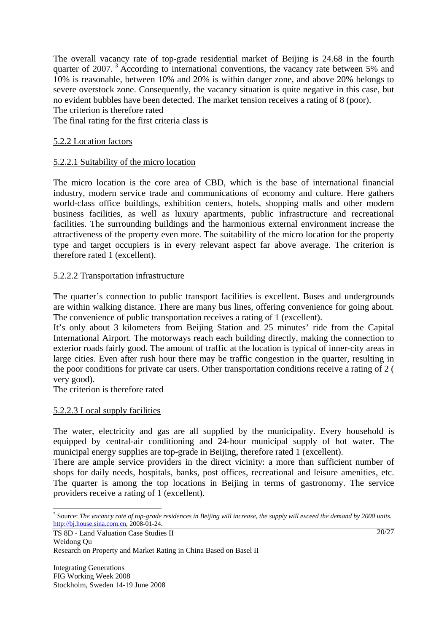The overall vacancy rate of top-grade residential market of Beijing is 24.68 in the fourth quarter of 2007.<sup>3</sup> According to international conventions, the vacancy rate between 5% and 10% is reasonable, between 10% and 20% is within danger zone, and above 20% belongs to severe overstock zone. Consequently, the vacancy situation is quite negative in this case, but no evident bubbles have been detected. The market tension receives a rating of 8 (poor).

The criterion is therefore rated

The final rating for the first criteria class is

## 5.2.2 Location factors

## 5.2.2.1 Suitability of the micro location

The micro location is the core area of CBD, which is the base of international financial industry, modern service trade and communications of economy and culture. Here gathers world-class office buildings, exhibition centers, hotels, shopping malls and other modern business facilities, as well as luxury apartments, public infrastructure and recreational facilities. The surrounding buildings and the harmonious external environment increase the attractiveness of the property even more. The suitability of the micro location for the property type and target occupiers is in every relevant aspect far above average. The criterion is therefore rated 1 (excellent).

## 5.2.2.2 Transportation infrastructure

The quarter's connection to public transport facilities is excellent. Buses and undergrounds are within walking distance. There are many bus lines, offering convenience for going about. The convenience of public transportation receives a rating of 1 (excellent).

It's only about 3 kilometers from Beijing Station and 25 minutes' ride from the Capital International Airport. The motorways reach each building directly, making the connection to exterior roads fairly good. The amount of traffic at the location is typical of inner-city areas in large cities. Even after rush hour there may be traffic congestion in the quarter, resulting in the poor conditions for private car users. Other transportation conditions receive a rating of 2 ( very good).

The criterion is therefore rated

#### 5.2.2.3 Local supply facilities

The water, electricity and gas are all supplied by the municipality. Every household is equipped by central-air conditioning and 24-hour municipal supply of hot water. The municipal energy supplies are top-grade in Beijing, therefore rated 1 (excellent).

There are ample service providers in the direct vicinity: a more than sufficient number of shops for daily needs, hospitals, banks, post offices, recreational and leisure amenities, etc. The quarter is among the top locations in Beijing in terms of gastronomy. The service providers receive a rating of 1 (excellent).

 $\overline{a}$ 

<sup>3</sup> Source: *The vacancy rate of top-grade residences in Beijing will increase, the supply will exceed the demand by 2000 units.* http://bj.house.sina.com.cn, 2008-01-24.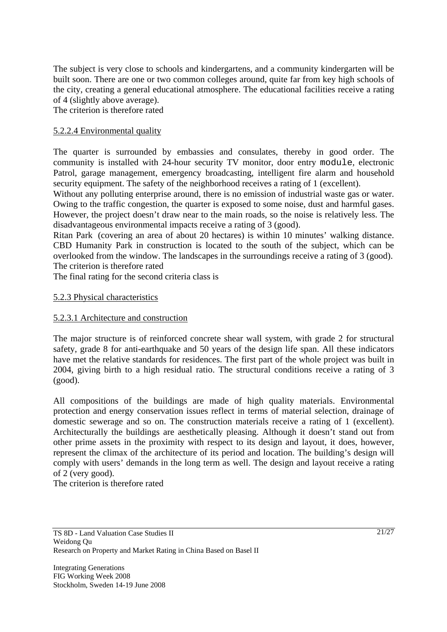The subject is very close to schools and kindergartens, and a community kindergarten will be built soon. There are one or two common colleges around, quite far from key high schools of the city, creating a general educational atmosphere. The educational facilities receive a rating of 4 (slightly above average).

The criterion is therefore rated

# 5.2.2.4 Environmental quality

The quarter is surrounded by embassies and consulates, thereby in good order. The community is installed with 24-hour security TV monitor, door entry module, electronic Patrol, garage management, emergency broadcasting, intelligent fire alarm and household security equipment. The safety of the neighborhood receives a rating of 1 (excellent).

Without any polluting enterprise around, there is no emission of industrial waste gas or water. Owing to the traffic congestion, the quarter is exposed to some noise, dust and harmful gases. However, the project doesn't draw near to the main roads, so the noise is relatively less. The disadvantageous environmental impacts receive a rating of 3 (good).

Ritan Park (covering an area of about 20 hectares) is within 10 minutes' walking distance. CBD Humanity Park in construction is located to the south of the subject, which can be overlooked from the window. The landscapes in the surroundings receive a rating of 3 (good). The criterion is therefore rated

The final rating for the second criteria class is

## 5.2.3 Physical characteristics

## 5.2.3.1 Architecture and construction

The major structure is of reinforced concrete shear wall system, with grade 2 for structural safety, grade 8 for anti-earthquake and 50 years of the design life span. All these indicators have met the relative standards for residences. The first part of the whole project was built in 2004, giving birth to a high residual ratio. The structural conditions receive a rating of 3 (good).

All compositions of the buildings are made of high quality materials. Environmental protection and energy conservation issues reflect in terms of material selection, drainage of domestic sewerage and so on. The construction materials receive a rating of 1 (excellent). Architecturally the buildings are aesthetically pleasing. Although it doesn't stand out from other prime assets in the proximity with respect to its design and layout, it does, however, represent the climax of the architecture of its period and location. The building's design will comply with users' demands in the long term as well. The design and layout receive a rating of 2 (very good).

The criterion is therefore rated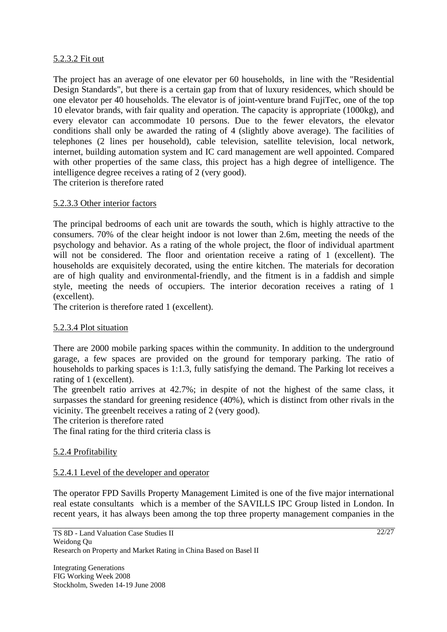## 5.2.3.2 Fit out

The project has an average of one elevator per 60 households, in line with the "Residential Design Standards", but there is a certain gap from that of luxury residences, which should be one elevator per 40 households. The elevator is of joint-venture brand FujiTec, one of the top 10 elevator brands, with fair quality and operation. The capacity is appropriate (1000kg), and every elevator can accommodate 10 persons. Due to the fewer elevators, the elevator conditions shall only be awarded the rating of 4 (slightly above average). The facilities of telephones (2 lines per household), cable television, satellite television, local network, internet, building automation system and IC card management are well appointed. Compared with other properties of the same class, this project has a high degree of intelligence. The intelligence degree receives a rating of 2 (very good). The criterion is therefore rated

## 5.2.3.3 Other interior factors

The principal bedrooms of each unit are towards the south, which is highly attractive to the consumers. 70% of the clear height indoor is not lower than 2.6m, meeting the needs of the psychology and behavior. As a rating of the whole project, the floor of individual apartment will not be considered. The floor and orientation receive a rating of 1 (excellent). The households are exquisitely decorated, using the entire kitchen. The materials for decoration are of high quality and environmental-friendly, and the fitment is in a faddish and simple style, meeting the needs of occupiers. The interior decoration receives a rating of 1 (excellent).

The criterion is therefore rated 1 (excellent).

# 5.2.3.4 Plot situation

There are 2000 mobile parking spaces within the community. In addition to the underground garage, a few spaces are provided on the ground for temporary parking. The ratio of households to parking spaces is 1:1.3, fully satisfying the demand. The Parking lot receives a rating of 1 (excellent).

The greenbelt ratio arrives at 42.7%; in despite of not the highest of the same class, it surpasses the standard for greening residence (40%), which is distinct from other rivals in the vicinity. The greenbelt receives a rating of 2 (very good).

The criterion is therefore rated

The final rating for the third criteria class is

# 5.2.4 Profitability

#### 5.2.4.1 Level of the developer and operator

The operator FPD Savills Property Management Limited is one of the five major international real estate consultants which is a member of the SAVILLS IPC Group listed in London. In recent years, it has always been among the top three property management companies in the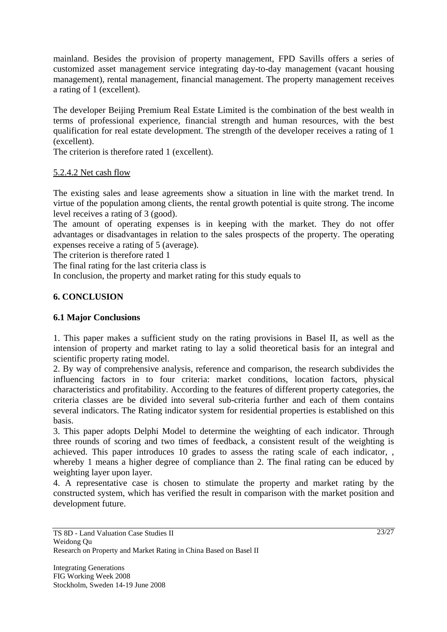mainland. Besides the provision of property management, FPD Savills offers a series of customized asset management service integrating day-to-day management (vacant housing management), rental management, financial management. The property management receives a rating of 1 (excellent).

The developer Beijing Premium Real Estate Limited is the combination of the best wealth in terms of professional experience, financial strength and human resources, with the best qualification for real estate development. The strength of the developer receives a rating of 1 (excellent).

The criterion is therefore rated 1 (excellent).

# 5.2.4.2 Net cash flow

The existing sales and lease agreements show a situation in line with the market trend. In virtue of the population among clients, the rental growth potential is quite strong. The income level receives a rating of 3 (good).

The amount of operating expenses is in keeping with the market. They do not offer advantages or disadvantages in relation to the sales prospects of the property. The operating expenses receive a rating of 5 (average).

The criterion is therefore rated 1

The final rating for the last criteria class is

In conclusion, the property and market rating for this study equals to

# **6. CONCLUSION**

# **6.1 Major Conclusions**

1. This paper makes a sufficient study on the rating provisions in Basel II, as well as the intension of property and market rating to lay a solid theoretical basis for an integral and scientific property rating model.

2. By way of comprehensive analysis, reference and comparison, the research subdivides the influencing factors in to four criteria: market conditions, location factors, physical characteristics and profitability. According to the features of different property categories, the criteria classes are be divided into several sub-criteria further and each of them contains several indicators. The Rating indicator system for residential properties is established on this basis.

3. This paper adopts Delphi Model to determine the weighting of each indicator. Through three rounds of scoring and two times of feedback, a consistent result of the weighting is achieved. This paper introduces 10 grades to assess the rating scale of each indicator, , whereby 1 means a higher degree of compliance than 2. The final rating can be educed by weighting layer upon layer.

4. A representative case is chosen to stimulate the property and market rating by the constructed system, which has verified the result in comparison with the market position and development future.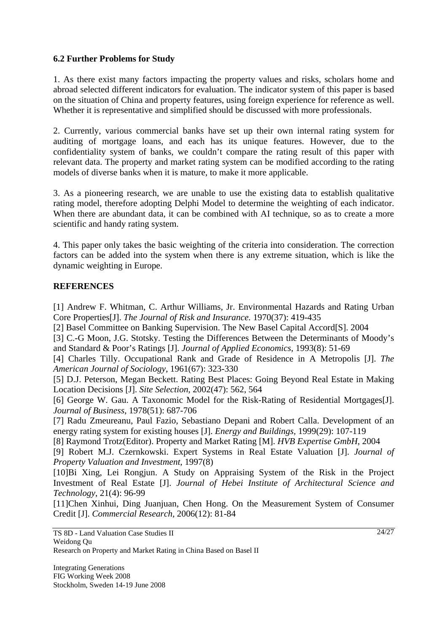# **6.2 Further Problems for Study**

1. As there exist many factors impacting the property values and risks, scholars home and abroad selected different indicators for evaluation. The indicator system of this paper is based on the situation of China and property features, using foreign experience for reference as well. Whether it is representative and simplified should be discussed with more professionals.

2. Currently, various commercial banks have set up their own internal rating system for auditing of mortgage loans, and each has its unique features. However, due to the confidentiality system of banks, we couldn't compare the rating result of this paper with relevant data. The property and market rating system can be modified according to the rating models of diverse banks when it is mature, to make it more applicable.

3. As a pioneering research, we are unable to use the existing data to establish qualitative rating model, therefore adopting Delphi Model to determine the weighting of each indicator. When there are abundant data, it can be combined with AI technique, so as to create a more scientific and handy rating system.

4. This paper only takes the basic weighting of the criteria into consideration. The correction factors can be added into the system when there is any extreme situation, which is like the dynamic weighting in Europe.

# **REFERENCES**

[1] Andrew F. Whitman, C. Arthur Williams, Jr. Environmental Hazards and Rating Urban Core Properties[J]. *The Journal of Risk and Insurance.* 1970(37): 419-435

[2] Basel Committee on Banking Supervision. The New Basel Capital Accord[S]. 2004

[3] C.-G Moon, J.G. Stotsky. Testing the Differences Between the Determinants of Moody's and Standard & Poor's Ratings [J]. *Journal of Applied Economics*, 1993(8): 51-69

[4] Charles Tilly. Occupational Rank and Grade of Residence in A Metropolis [J]. *The American Journal of Sociology*, 1961(67): 323-330

[5] D.J. Peterson, Megan Beckett. Rating Best Places: Going Beyond Real Estate in Making Location Decisions [J]. *Site Selection*, 2002(47): 562, 564

[6] George W. Gau. A Taxonomic Model for the Risk-Rating of Residential Mortgages[J]. *Journal of Business*, 1978(51): 687-706

[7] Radu Zmeureanu, Paul Fazio, Sebastiano Depani and Robert Calla. Development of an energy rating system for existing houses [J]. *Energy and Buildings,* 1999(29): 107-119

[8] Raymond Trotz(Editor). Property and Market Rating [M]. *HVB Expertise GmbH*, 2004

[9] Robert M.J. Czernkowski. Expert Systems in Real Estate Valuation [J]. *Journal of Property Valuation and Investment*, 1997(8)

[10]Bi Xing, Lei Rongjun. A Study on Appraising System of the Risk in the Project Investment of Real Estate [J]. *Journal of Hebei Institute of Architectural Science and Technology*, 21(4): 96-99

[11]Chen Xinhui, Ding Juanjuan, Chen Hong. On the Measurement System of Consumer Credit [J]. *Commercial Research,* 2006(12): 81-84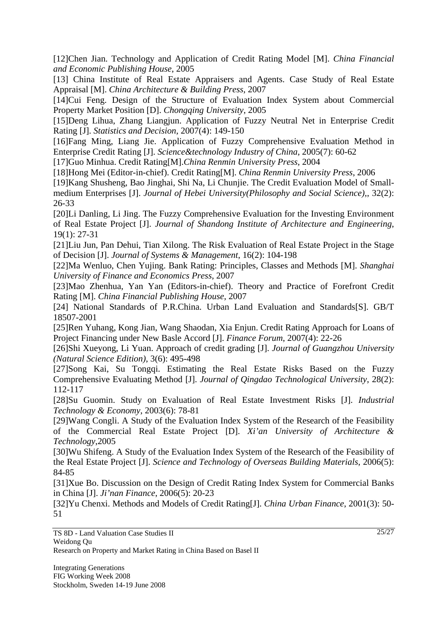[12]Chen Jian. Technology and Application of Credit Rating Model [M]. *China Financial and Economic Publishing House*, 2005

[13] China Institute of Real Estate Appraisers and Agents. Case Study of Real Estate Appraisal [M]. *China Architecture & Building Press*, 2007

[14]Cui Feng. Design of the Structure of Evaluation Index System about Commercial Property Market Position [D]. *Chongqing University*, 2005

[15]Deng Lihua, Zhang Liangjun. Application of Fuzzy Neutral Net in Enterprise Credit Rating [J]. *Statistics and Decision*, 2007(4): 149-150

[16]Fang Ming, Liang Jie. Application of Fuzzy Comprehensive Evaluation Method in Enterprise Credit Rating [J]. *Science&technology Industry of China*, 2005(7): 60-62

[17]Guo Minhua. Credit Rating[M].*China Renmin University Press*, 2004

[18]Hong Mei (Editor-in-chief). Credit Rating[M]. *China Renmin University Press*, 2006

[19]Kang Shusheng, Bao Jinghai, Shi Na, Li Chunjie. The Credit Evaluation Model of Smallmedium Enterprises [J]. *Journal of Hebei University(Philosophy and Social Science)*,, 32(2): 26-33

[20]Li Danling, Li Jing. The Fuzzy Comprehensive Evaluation for the Investing Environment of Real Estate Project [J]. *Journal of Shandong Institute of Architecture and Engineering*, 19(1): 27-31

[21]Liu Jun, Pan Dehui, Tian Xilong. The Risk Evaluation of Real Estate Project in the Stage of Decision [J]. *Journal of Systems & Management*, 16(2): 104-198

[22]Ma Wenluo, Chen Yujing. Bank Rating: Principles, Classes and Methods [M]. *Shanghai University of Finance and Economics Press*, 2007

[23]Mao Zhenhua, Yan Yan (Editors-in-chief). Theory and Practice of Forefront Credit Rating [M]. *China Financial Publishing House*, 2007

[24] National Standards of P.R.China. Urban Land Evaluation and Standards[S]. GB/T 18507-2001

[25]Ren Yuhang, Kong Jian, Wang Shaodan, Xia Enjun. Credit Rating Approach for Loans of Project Financing under New Basle Accord [J]. *Finance Forum*, 2007(4): 22-26

[26]Shi Xueyong, Li Yuan. Approach of credit grading [J]. *Journal of Guangzhou University (Natural Science Edition)*, 3(6): 495-498

[27]Song Kai, Su Tongqi. Estimating the Real Estate Risks Based on the Fuzzy Comprehensive Evaluating Method [J]. *Journal of Qingdao Technological University*, 28(2): 112-117

[28]Su Guomin. Study on Evaluation of Real Estate Investment Risks [J]. *Industrial Technology & Economy*, 2003(6): 78-81

[29]Wang Congli. A Study of the Evaluation Index System of the Research of the Feasibility of the Commercial Real Estate Project [D]. *Xi'an University of Architecture & Technology*,2005

[30]Wu Shifeng. A Study of the Evaluation Index System of the Research of the Feasibility of the Real Estate Project [J]. *Science and Technology of Overseas Building Materials*, 2006(5): 84-85

[31]Xue Bo. Discussion on the Design of Credit Rating Index System for Commercial Banks in China [J]. *Ji'nan Finance*, 2006(5): 20-23

[32]Yu Chenxi. Methods and Models of Credit Rating[J]. *China Urban Finance*, 2001(3): 50- 51

TS 8D - Land Valuation Case Studies II Weidong Qu Research on Property and Market Rating in China Based on Basel II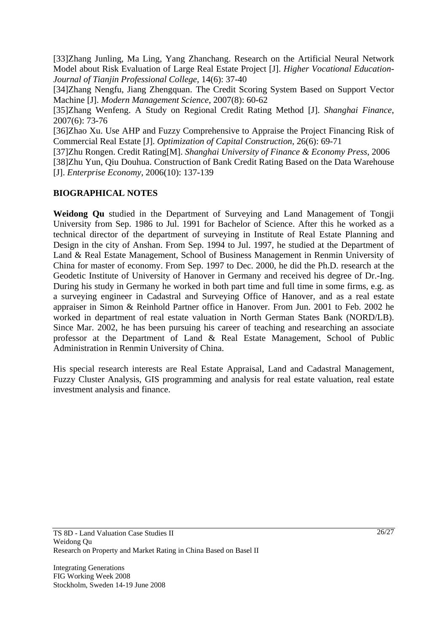[33]Zhang Junling, Ma Ling, Yang Zhanchang. Research on the Artificial Neural Network Model about Risk Evaluation of Large Real Estate Project [J]. *Higher Vocational Education-Journal of Tianjin Professional College,* 14(6): 37-40

[34]Zhang Nengfu, Jiang Zhengquan. The Credit Scoring System Based on Support Vector Machine [J]. *Modern Management Science*, 2007(8): 60-62

[35]Zhang Wenfeng. A Study on Regional Credit Rating Method [J]. *Shanghai Finance*, 2007(6): 73-76

[36]Zhao Xu. Use AHP and Fuzzy Comprehensive to Appraise the Project Financing Risk of Commercial Real Estate [J]. *Optimization of Capital Construction*, 26(6): 69-71

[37]Zhu Rongen. Credit Rating[M]. *Shanghai University of Finance & Economy Press*, 2006 [38]Zhu Yun, Qiu Douhua. Construction of Bank Credit Rating Based on the Data Warehouse [J]. *Enterprise Economy*, 2006(10): 137-139

# **BIOGRAPHICAL NOTES**

**Weidong Qu** studied in the Department of Surveying and Land Management of Tongji University from Sep. 1986 to Jul. 1991 for Bachelor of Science. After this he worked as a technical director of the department of surveying in Institute of Real Estate Planning and Design in the city of Anshan. From Sep. 1994 to Jul. 1997, he studied at the Department of Land & Real Estate Management, School of Business Management in Renmin University of China for master of economy. From Sep. 1997 to Dec. 2000, he did the Ph.D. research at the Geodetic Institute of University of Hanover in Germany and received his degree of Dr.-Ing. During his study in Germany he worked in both part time and full time in some firms, e.g. as a surveying engineer in Cadastral and Surveying Office of Hanover, and as a real estate appraiser in Simon & Reinhold Partner office in Hanover. From Jun. 2001 to Feb. 2002 he worked in department of real estate valuation in North German States Bank (NORD/LB). Since Mar. 2002, he has been pursuing his career of teaching and researching an associate professor at the Department of Land & Real Estate Management, School of Public Administration in Renmin University of China.

His special research interests are Real Estate Appraisal, Land and Cadastral Management, Fuzzy Cluster Analysis, GIS programming and analysis for real estate valuation, real estate investment analysis and finance.